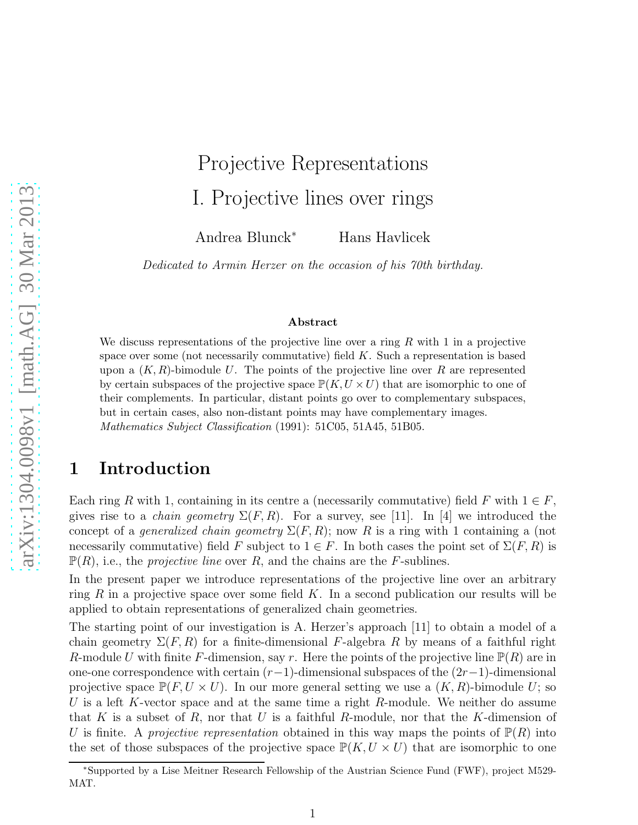# Projective Representations I. Projective lines over rings

Andrea Blunck<sup>∗</sup> Hans Havlicek

*Dedicated to Armin Herzer on the occasion of his 70th birthday.*

#### Abstract

We discuss representations of the projective line over a ring  $R$  with 1 in a projective space over some (not necessarily commutative) field  $K$ . Such a representation is based upon a  $(K, R)$ -bimodule U. The points of the projective line over R are represented by certain subspaces of the projective space  $\mathbb{P}(K, U \times U)$  that are isomorphic to one of their complements. In particular, distant points go over to complementary subspaces, but in certain cases, also non-distant points may have complementary images. Mathematics Subject Classification (1991): 51C05, 51A45, 51B05.

## 1 Introduction

Each ring R with 1, containing in its centre a (necessarily commutative) field F with  $1 \in F$ , gives rise to a *chain geometry*  $\Sigma(F, R)$ . For a survey, see [11]. In [4] we introduced the concept of a *generalized chain geometry*  $\Sigma(F, R)$ ; now R is a ring with 1 containing a (not necessarily commutative) field F subject to  $1 \in F$ . In both cases the point set of  $\Sigma(F, R)$  is  $\mathbb{P}(R)$ , i.e., the *projective line* over R, and the chains are the F-sublines.

In the present paper we introduce representations of the projective line over an arbitrary ring R in a projective space over some field K. In a second publication our results will be applied to obtain representations of generalized chain geometries.

The starting point of our investigation is A. Herzer's approach [11] to obtain a model of a chain geometry  $\Sigma(F, R)$  for a finite-dimensional F-algebra R by means of a faithful right R-module U with finite F-dimension, say r. Here the points of the projective line  $\mathbb{P}(R)$  are in one-one correspondence with certain  $(r-1)$ -dimensional subspaces of the  $(2r-1)$ -dimensional projective space  $\mathbb{P}(F, U \times U)$ . In our more general setting we use a  $(K, R)$ -bimodule U; so U is a left K-vector space and at the same time a right R-module. We neither do assume that K is a subset of R, nor that U is a faithful R-module, nor that the K-dimension of U is finite. A *projective representation* obtained in this way maps the points of  $\mathbb{P}(R)$  into the set of those subspaces of the projective space  $\mathbb{P}(K, U \times U)$  that are isomorphic to one

<sup>∗</sup>Supported by a Lise Meitner Research Fellowship of the Austrian Science Fund (FWF), project M529- MAT.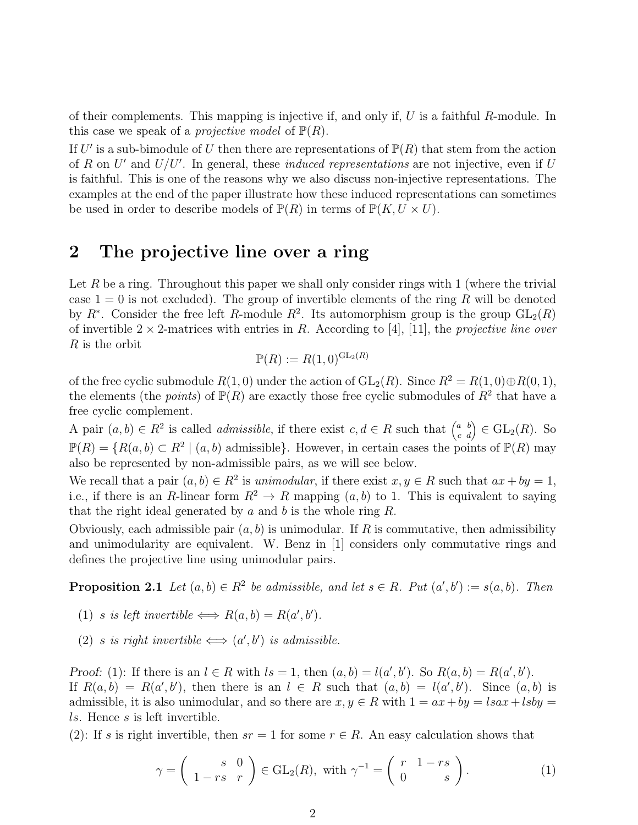of their complements. This mapping is injective if, and only if, U is a faithful R-module. In this case we speak of a *projective model* of  $\mathbb{P}(R)$ .

If U' is a sub-bimodule of U then there are representations of  $\mathbb{P}(R)$  that stem from the action of R on U' and U/U'. In general, these *induced representations* are not injective, even if U is faithful. This is one of the reasons why we also discuss non-injective representations. The examples at the end of the paper illustrate how these induced representations can sometimes be used in order to describe models of  $\mathbb{P}(R)$  in terms of  $\mathbb{P}(K, U \times U)$ .

#### 2 The projective line over a ring

Let R be a ring. Throughout this paper we shall only consider rings with  $1$  (where the trivial case  $1 = 0$  is not excluded). The group of invertible elements of the ring R will be denoted by  $R^*$ . Consider the free left R-module  $R^2$ . Its automorphism group is the group  $GL_2(R)$ of invertible 2 × 2-matrices with entries in R. According to [4], [11], the *projective line over* R is the orbit

$$
\mathbb{P}(R) := R(1,0)^{\operatorname{GL}_2(R)}
$$

of the free cyclic submodule  $R(1, 0)$  under the action of  $GL_2(R)$ . Since  $R^2 = R(1, 0) \oplus R(0, 1)$ , the elements (the *points*) of  $\mathbb{P}(R)$  are exactly those free cyclic submodules of  $R^2$  that have a free cyclic complement.

A pair  $(a, b) \in R^2$  is called *admissible*, if there exist  $c, d \in R$  such that  $\begin{pmatrix} a & b \\ c & d \end{pmatrix} \in GL_2(R)$ . So  $\mathbb{P}(R) = \{R(a, b) \subset R^2 \mid (a, b) \text{ admissible}\}.$  However, in certain cases the points of  $\mathbb{P}(R)$  may also be represented by non-admissible pairs, as we will see below.

We recall that a pair  $(a, b) \in \mathbb{R}^2$  is *unimodular*, if there exist  $x, y \in \mathbb{R}$  such that  $ax + by = 1$ , i.e., if there is an R-linear form  $R^2 \to R$  mapping  $(a, b)$  to 1. This is equivalent to saying that the right ideal generated by  $a$  and  $b$  is the whole ring  $R$ .

Obviously, each admissible pair  $(a, b)$  is unimodular. If R is commutative, then admissibility and unimodularity are equivalent. W. Benz in [1] considers only commutative rings and defines the projective line using unimodular pairs.

**Proposition 2.1** Let  $(a, b) \in R^2$  be admissible, and let  $s \in R$ . Put  $(a', b') := s(a, b)$ . Then

- (1) *s is left invertible*  $\Longleftrightarrow R(a,b) = R(a',b')$ .
- (2) *s is right invertible*  $\Longleftrightarrow$   $(a', b')$  *is admissible.*

Proof: (1): If there is an  $l \in R$  with  $ls = 1$ , then  $(a, b) = l(a', b')$ . So  $R(a, b) = R(a', b')$ . If  $R(a, b) = R(a', b')$ , then there is an  $l \in R$  such that  $(a, b) = l(a', b')$ . Since  $(a, b)$  is admissible, it is also unimodular, and so there are  $x, y \in R$  with  $1 = ax + by = lsax + l$ sby ls. Hence s is left invertible.

(2): If s is right invertible, then  $sr = 1$  for some  $r \in R$ . An easy calculation shows that

$$
\gamma = \begin{pmatrix} s & 0 \\ 1 - rs & r \end{pmatrix} \in GL_2(R), \text{ with } \gamma^{-1} = \begin{pmatrix} r & 1 - rs \\ 0 & s \end{pmatrix}.
$$
 (1)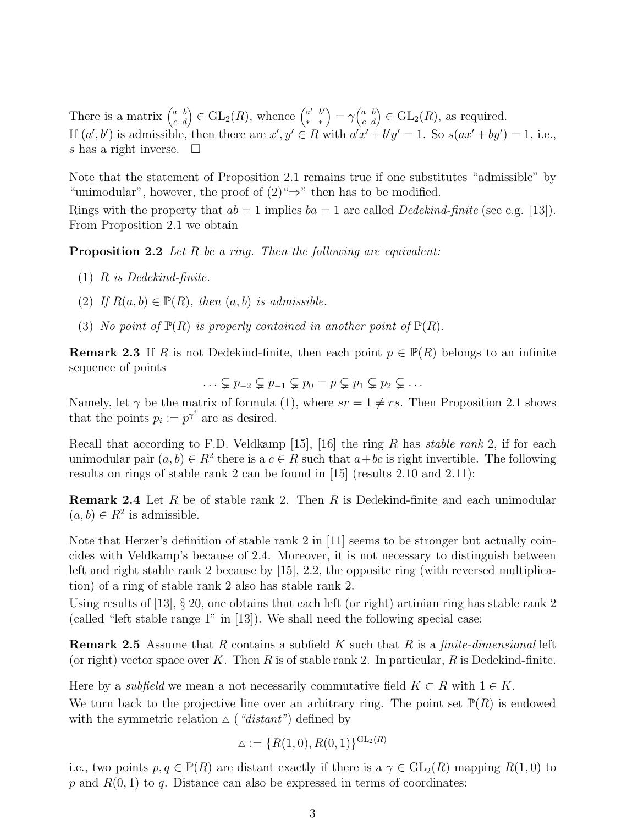There is a matrix  $\begin{pmatrix} a & b \\ c & d \end{pmatrix} \in GL_2(R)$ , whence  $\begin{pmatrix} a' & b' \\ * & * \end{pmatrix} = \gamma \begin{pmatrix} a & b \\ c & d \end{pmatrix} \in GL_2(R)$ , as required. If  $(a', b')$  is admissible, then there are  $x', y' \in R$  with  $a'x' + b'y' = 1$ . So  $s(ax' + by') = 1$ , i.e., s has a right inverse.  $\square$ 

Note that the statement of Proposition 2.1 remains true if one substitutes "admissible" by "unimodular", however, the proof of  $(2) \rightarrow$ " then has to be modified.

Rings with the property that  $ab = 1$  implies  $ba = 1$  are called *Dedekind-finite* (see e.g. [13]). From Proposition 2.1 we obtain

Proposition 2.2 *Let* R *be a ring. Then the following are equivalent:*

- (1) R *is Dedekind-finite.*
- (2) If  $R(a, b) \in \mathbb{P}(R)$ , then  $(a, b)$  is admissible.
- (3) *No point of*  $\mathbb{P}(R)$  *is properly contained in another point of*  $\mathbb{P}(R)$ *.*

**Remark 2.3** If R is not Dedekind-finite, then each point  $p \in \mathbb{P}(R)$  belongs to an infinite sequence of points

$$
\ldots \subsetneq p_{-2} \subsetneq p_{-1} \subsetneq p_0 = p \subsetneq p_1 \subsetneq p_2 \subsetneq \ldots
$$

Namely, let  $\gamma$  be the matrix of formula (1), where  $sr = 1 \neq rs$ . Then Proposition 2.1 shows that the points  $p_i := p^{\gamma^i}$  are as desired.

Recall that according to F.D. Veldkamp [15], [16] the ring R has *stable rank* 2, if for each unimodular pair  $(a, b) \in R^2$  there is a  $c \in R$  such that  $a + bc$  is right invertible. The following results on rings of stable rank 2 can be found in [15] (results 2.10 and 2.11):

**Remark 2.4** Let R be of stable rank 2. Then R is Dedekind-finite and each unimodular  $(a, b) \in R^2$  is admissible.

Note that Herzer's definition of stable rank 2 in [11] seems to be stronger but actually coincides with Veldkamp's because of 2.4. Moreover, it is not necessary to distinguish between left and right stable rank 2 because by  $(15)$ , 2.2, the opposite ring (with reversed multiplication) of a ring of stable rank 2 also has stable rank 2.

Using results of [13], § 20, one obtains that each left (or right) artinian ring has stable rank 2 (called "left stable range 1" in [13]). We shall need the following special case:

Remark 2.5 Assume that R contains a subfield K such that R is a *finite-dimensional* left (or right) vector space over K. Then R is of stable rank 2. In particular, R is Dedekind-finite.

Here by a *subfield* we mean a not necessarily commutative field  $K \subset R$  with  $1 \in K$ .

We turn back to the projective line over an arbitrary ring. The point set  $\mathbb{P}(R)$  is endowed with the symmetric relation  $\Delta$  (*"distant"*) defined by

$$
\Delta := \{ R(1,0), R(0,1) \}^{\text{GL}_2(R)}
$$

i.e., two points  $p, q \in \mathbb{P}(R)$  are distant exactly if there is a  $\gamma \in GL_2(R)$  mapping  $R(1,0)$  to  $p$  and  $R(0, 1)$  to  $q$ . Distance can also be expressed in terms of coordinates: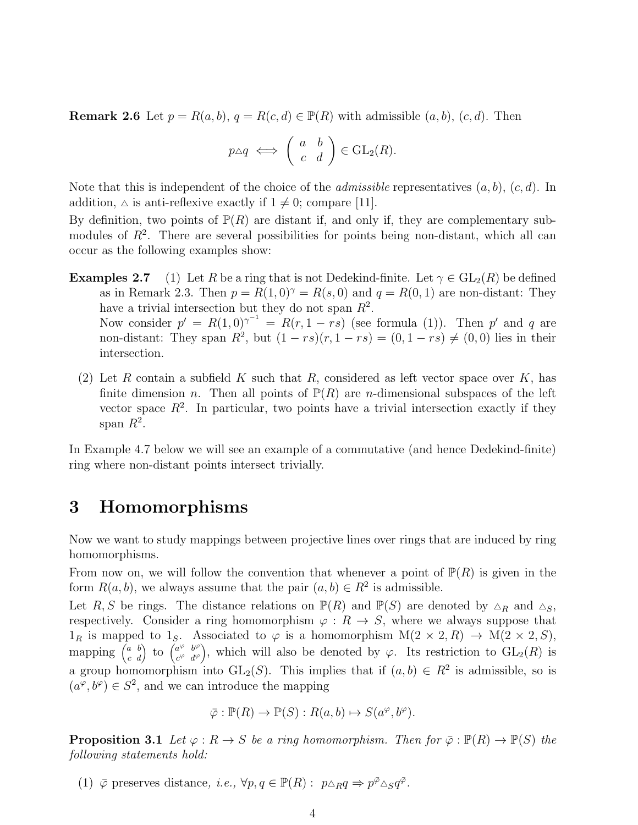**Remark 2.6** Let  $p = R(a, b), q = R(c, d) \in \mathbb{P}(R)$  with admissible  $(a, b), (c, d)$ . Then

$$
p \triangle q \iff \left( \begin{array}{cc} a & b \\ c & d \end{array} \right) \in \text{GL}_2(R).
$$

Note that this is independent of the choice of the *admissible* representatives  $(a, b)$ ,  $(c, d)$ . In addition,  $\Delta$  is anti-reflexive exactly if  $1 \neq 0$ ; compare [11].

By definition, two points of  $\mathbb{P}(R)$  are distant if, and only if, they are complementary submodules of  $R^2$ . There are several possibilities for points being non-distant, which all can occur as the following examples show:

- **Examples 2.7** (1) Let R be a ring that is not Dedekind-finite. Let  $\gamma \in GL_2(R)$  be defined as in Remark 2.3. Then  $p = R(1,0)^{\gamma} = R(s,0)$  and  $q = R(0,1)$  are non-distant: They have a trivial intersection but they do not span  $R^2$ . Now consider  $p' = R(1,0)^{\gamma^{-1}} = R(r,1-rs)$  (see formula (1)). Then p' and q are non-distant: They span  $R^2$ , but  $(1 - rs)(r, 1 - rs) = (0, 1 - rs) \neq (0, 0)$  lies in their intersection.
	- (2) Let R contain a subfield K such that R, considered as left vector space over K, has finite dimension *n*. Then all points of  $\mathbb{P}(R)$  are *n*-dimensional subspaces of the left vector space  $R^2$ . In particular, two points have a trivial intersection exactly if they span  $R^2$ .

In Example 4.7 below we will see an example of a commutative (and hence Dedekind-finite) ring where non-distant points intersect trivially.

## 3 Homomorphisms

Now we want to study mappings between projective lines over rings that are induced by ring homomorphisms.

From now on, we will follow the convention that whenever a point of  $\mathbb{P}(R)$  is given in the form  $R(a, b)$ , we always assume that the pair  $(a, b) \in R^2$  is admissible.

Let R, S be rings. The distance relations on  $\mathbb{P}(R)$  and  $\mathbb{P}(S)$  are denoted by  $\Delta_R$  and  $\Delta_S$ , respectively. Consider a ring homomorphism  $\varphi : R \to S$ , where we always suppose that  $1_R$  is mapped to  $1_S$ . Associated to  $\varphi$  is a homomorphism  $M(2 \times 2, R) \rightarrow M(2 \times 2, S)$ , mapping  $\begin{pmatrix} a & b \\ c & d \end{pmatrix}$  to  $\begin{pmatrix} a^{\varphi} & b^{\varphi} \\ c^{\varphi} & d^{\varphi} \end{pmatrix}$  $c^{\varphi}$   $d^{\varphi}$ ), which will also be denoted by  $\varphi$ . Its restriction to  $GL_2(R)$  is a group homomorphism into  $GL_2(S)$ . This implies that if  $(a, b) \in R^2$  is admissible, so is  $(a^{\varphi}, b^{\varphi}) \in S^2$ , and we can introduce the mapping

$$
\overline{\varphi} : \mathbb{P}(R) \to \mathbb{P}(S) : R(a, b) \mapsto S(a^{\varphi}, b^{\varphi}).
$$

**Proposition 3.1** Let  $\varphi : R \to S$  be a ring homomorphism. Then for  $\overline{\varphi} : \mathbb{P}(R) \to \mathbb{P}(S)$  the *following statements hold:*

(1)  $\bar{\varphi}$  preserves distance, *i.e.*,  $\forall p, q \in \mathbb{P}(R) : p \triangle_R q \Rightarrow p^{\bar{\varphi}} \triangle_S q^{\bar{\varphi}}$ .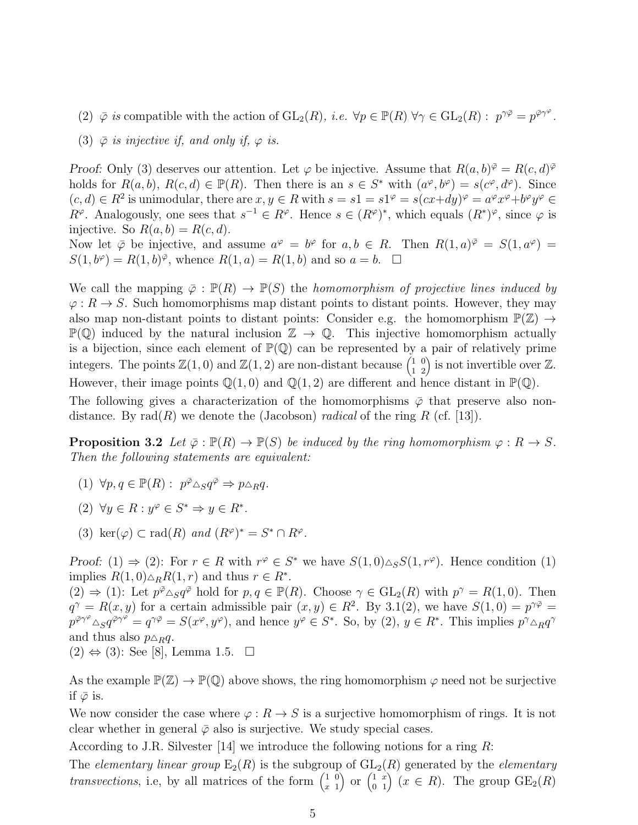- (2)  $\bar{\varphi}$  *is* compatible with the action of  $GL_2(R)$ *, i.e.*  $\forall p \in \mathbb{P}(R)$   $\forall \gamma \in GL_2(R) : p^{\gamma \bar{\varphi}} = p^{\bar{\varphi} \gamma^{\varphi}}$ *.*
- (3)  $\bar{\varphi}$  *is injective if, and only if,*  $\varphi$  *is.*

Proof: Only (3) deserves our attention. Let  $\varphi$  be injective. Assume that  $R(a, b)^{\bar{\varphi}} = R(c, d)^{\bar{\varphi}}$ holds for  $R(a, b)$ ,  $R(c, d) \in \mathbb{P}(R)$ . Then there is an  $s \in S^*$  with  $(a^{\varphi}, b^{\varphi}) = s(c^{\varphi}, d^{\varphi})$ . Since  $(c, d) \in R^2$  is unimodular, there are  $x, y \in R$  with  $s = s1 = s1^{\varphi} = s(cx+dy)^{\varphi} = a^{\varphi}x^{\varphi} + b^{\varphi}y^{\varphi} \in$  $R^{\varphi}$ . Analogously, one sees that  $s^{-1} \in R^{\varphi}$ . Hence  $s \in (R^{\varphi})^*$ , which equals  $(R^*)^{\varphi}$ , since  $\varphi$  is injective. So  $R(a, b) = R(c, d)$ .

Now let  $\bar{\varphi}$  be injective, and assume  $a^{\varphi} = b^{\varphi}$  for  $a, b \in R$ . Then  $R(1, a)^{\bar{\varphi}} = S(1, a^{\varphi}) =$  $S(1, b^{\varphi}) = R(1, b)^{\overline{\varphi}}$ , whence  $R(1, a) = R(1, b)$  and so  $a = b$ .  $\Box$ 

We call the mapping  $\overline{\varphi} : \mathbb{P}(R) \to \mathbb{P}(S)$  the *homomorphism of projective lines induced by*  $\varphi: R \to S$ . Such homomorphisms map distant points to distant points. However, they may also map non-distant points to distant points: Consider e.g. the homomorphism  $\mathbb{P}(\mathbb{Z}) \to$  $\mathbb{P}(\mathbb{Q})$  induced by the natural inclusion  $\mathbb{Z} \to \mathbb{Q}$ . This injective homomorphism actually is a bijection, since each element of  $\mathbb{P}(\mathbb{Q})$  can be represented by a pair of relatively prime integers. The points  $\mathbb{Z}(1,0)$  and  $\mathbb{Z}(1,2)$  are non-distant because  $\begin{pmatrix} 1 & 0 \\ 1 & 2 \end{pmatrix}$  is not invertible over  $\mathbb{Z}$ . However, their image points  $\mathbb{Q}(1,0)$  and  $\mathbb{Q}(1,2)$  are different and hence distant in  $\mathbb{P}(\mathbb{Q})$ . The following gives a characterization of the homomorphisms  $\bar{\varphi}$  that preserve also non-

**Proposition 3.2** *Let*  $\overline{\varphi} : \mathbb{P}(R) \to \mathbb{P}(S)$  *be induced by the ring homomorphism*  $\varphi : R \to S$ *. Then the following statements are equivalent:*

distance. By  $rad(R)$  we denote the (Jacobson) *radical* of the ring R (cf. [13]).

- $(1) \ \forall p, q \in \mathbb{P}(R): p^{\bar{\varphi}} \triangle_{S} q^{\bar{\varphi}} \Rightarrow p \triangle_{R} q.$
- (2)  $\forall y \in R : y^{\varphi} \in S^* \Rightarrow y \in R^*$ .
- (3) ker $(\varphi) \subset \text{rad}(R)$  *and*  $(R^{\varphi})^* = S^* \cap R^{\varphi}$ *.*

Proof: (1)  $\Rightarrow$  (2): For  $r \in R$  with  $r^{\varphi} \in S^*$  we have  $S(1,0)\triangle_{S}S(1,r^{\varphi})$ . Hence condition (1) implies  $R(1,0)\triangle_R R(1,r)$  and thus  $r \in R^*$ .

 $(2) \Rightarrow (1)$ : Let  $p^{\bar{\varphi}} \triangle_S q^{\bar{\varphi}}$  hold for  $p, q \in \mathbb{P}(R)$ . Choose  $\gamma \in GL_2(R)$  with  $p^{\gamma} = R(1,0)$ . Then  $q^{\gamma} = R(x, y)$  for a certain admissible pair  $(x, y) \in R^2$ . By 3.1(2), we have  $S(1, 0) = p^{\gamma \bar{\varphi}} =$  $p^{\bar{\varphi}\gamma^{\varphi}} \Delta_S q^{\bar{\varphi}\gamma^{\varphi}} = q^{\gamma \bar{\varphi}} = S(x^{\varphi}, y^{\varphi})$ , and hence  $y^{\varphi} \in S^*$ . So, by  $(2), y \in R^*$ . This implies  $p^{\gamma} \Delta_R q^{\gamma}$ and thus also  $p \triangle_R q$ .

 $(2) \Leftrightarrow (3)$ : See [8], Lemma 1.5.  $\Box$ 

As the example  $\mathbb{P}(\mathbb{Z}) \to \mathbb{P}(\mathbb{Q})$  above shows, the ring homomorphism  $\varphi$  need not be surjective if  $\bar{\varphi}$  is.

We now consider the case where  $\varphi: R \to S$  is a surjective homomorphism of rings. It is not clear whether in general  $\bar{\varphi}$  also is surjective. We study special cases.

According to J.R. Silvester [14] we introduce the following notions for a ring  $R$ :

The *elementary linear group*  $E_2(R)$  is the subgroup of  $GL_2(R)$  generated by the *elementary transvections*, i.e, by all matrices of the form  $\begin{pmatrix} 1 & 0 \\ x & 1 \end{pmatrix}$ x 1 or  $\begin{pmatrix} 1 & x \\ 0 & 1 \end{pmatrix}$   $(x \in R)$ . The group  $GE_2(R)$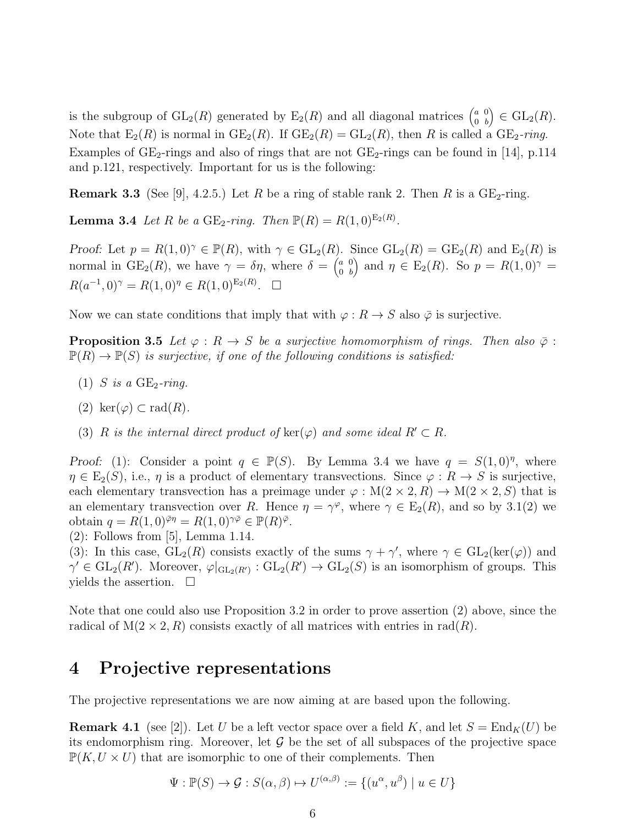is the subgroup of  $GL_2(R)$  generated by  $E_2(R)$  and all diagonal matrices  $\begin{pmatrix} a & 0 \\ 0 & b \end{pmatrix}$ 0 b  $\big) \in \mathrm{GL}_2(R).$ Note that  $E_2(R)$  is normal in  $GE_2(R)$ . If  $GE_2(R) = GL_2(R)$ , then R is called a  $GE_2$ -ring. Examples of  $GE_2$ -rings and also of rings that are not  $GE_2$ -rings can be found in [14], p.114 and p.121, respectively. Important for us is the following:

**Remark 3.3** (See [9], 4.2.5.) Let R be a ring of stable rank 2. Then R is a  $GE_2$ -ring.

**Lemma 3.4** *Let R be a* GE<sub>2</sub>*-ring. Then*  $\mathbb{P}(R) = R(1,0)^{\mathbb{E}_2(R)}$ *.* 

Proof: Let  $p = R(1,0)^{\gamma} \in \mathbb{P}(R)$ , with  $\gamma \in GL_2(R)$ . Since  $GL_2(R) = GE_2(R)$  and  $E_2(R)$  is normal in  $GE_2(R)$ , we have  $\gamma = \delta \eta$ , where  $\delta = \begin{pmatrix} a & 0 \\ 0 & b \end{pmatrix}$ 0 b ) and  $\eta \in \mathrm{E}_2(R)$ . So  $p = R(1,0)^{\gamma}$  =  $R(a^{-1}, 0)^\gamma = R(1, 0)^\eta \in R(1, 0)^{E_2(R)}$ .  $\Box$ 

Now we can state conditions that imply that with  $\varphi : R \to S$  also  $\bar{\varphi}$  is surjective.

**Proposition 3.5** *Let*  $\varphi : R \to S$  *be a surjective homomorphism of rings. Then also*  $\bar{\varphi}$ :  $\mathbb{P}(R) \to \mathbb{P}(S)$  *is surjective, if one of the following conditions is satisfied:* 

- $(1)$  *S* is a GE<sub>2</sub>-ring.
- (2) ker $(\varphi) \subset rad(R)$ .
- (3) R is the internal direct product of  $\text{ker}(\varphi)$  and some ideal  $R' \subset R$ .

Proof: (1): Consider a point  $q \in \mathbb{P}(S)$ . By Lemma 3.4 we have  $q = S(1,0)^{\eta}$ , where  $\eta \in E_2(S)$ , i.e.,  $\eta$  is a product of elementary transvections. Since  $\varphi: R \to S$  is surjective, each elementary transvection has a preimage under  $\varphi : M(2 \times 2, R) \to M(2 \times 2, S)$  that is an elementary transvection over R. Hence  $\eta = \gamma^{\varphi}$ , where  $\gamma \in E_2(R)$ , and so by 3.1(2) we obtain  $q = R(1,0)^{\bar{\varphi}\eta} = R(1,0)^{\gamma\bar{\varphi}} \in \mathbb{P}(R)^{\bar{\varphi}}$ .

(2): Follows from [5], Lemma 1.14.

(3): In this case,  $GL_2(R)$  consists exactly of the sums  $\gamma + \gamma'$ , where  $\gamma \in GL_2(\text{ker}(\varphi))$  and  $\gamma' \in GL_2(R')$ . Moreover,  $\varphi|_{\mathrm{GL}_2(R')} : GL_2(R') \to GL_2(S)$  is an isomorphism of groups. This yields the assertion.  $\square$ 

Note that one could also use Proposition 3.2 in order to prove assertion (2) above, since the radical of  $M(2 \times 2, R)$  consists exactly of all matrices with entries in rad(R).

# 4 Projective representations

The projective representations we are now aiming at are based upon the following.

**Remark 4.1** (see [2]). Let U be a left vector space over a field K, and let  $S = \text{End}_K(U)$  be its endomorphism ring. Moreover, let  $\mathcal G$  be the set of all subspaces of the projective space  $\mathbb{P}(K, U \times U)$  that are isomorphic to one of their complements. Then

$$
\Psi : \mathbb{P}(S) \to \mathcal{G} : S(\alpha, \beta) \mapsto U^{(\alpha, \beta)} := \{ (u^{\alpha}, u^{\beta}) \mid u \in U \}
$$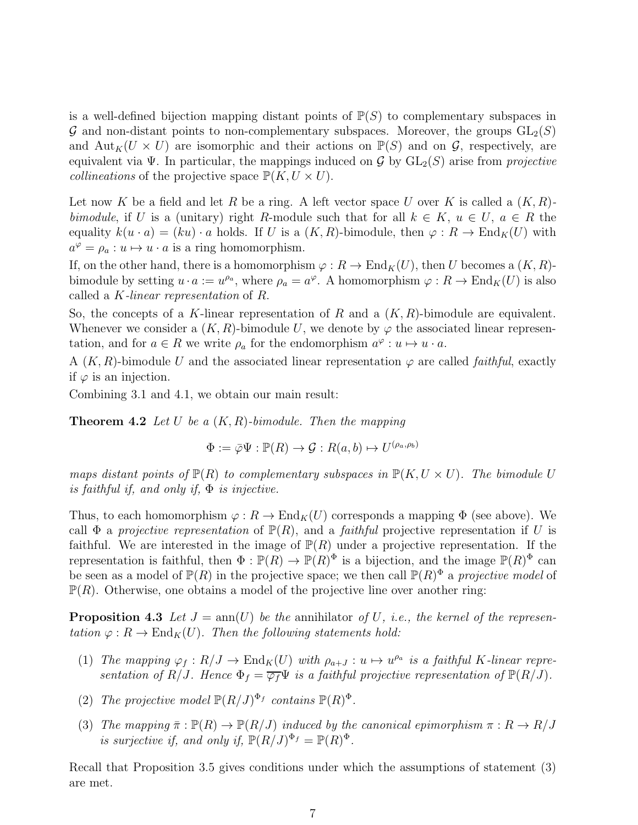is a well-defined bijection mapping distant points of  $\mathbb{P}(S)$  to complementary subspaces in G and non-distant points to non-complementary subspaces. Moreover, the groups  $GL_2(S)$ and  ${\rm Aut}_K(U \times U)$  are isomorphic and their actions on  $\mathbb{P}(S)$  and on  $\mathcal{G}$ , respectively, are equivalent via Ψ. In particular, the mappings induced on  $\mathcal G$  by  $GL_2(S)$  arise from *projective collineations* of the projective space  $\mathbb{P}(K, U \times U)$ .

Let now K be a field and let R be a ring. A left vector space U over K is called a  $(K, R)$ *bimodule*, if U is a (unitary) right R-module such that for all  $k \in K$ ,  $u \in U$ ,  $a \in R$  the equality  $k(u \cdot a) = (ku) \cdot a$  holds. If U is a  $(K, R)$ -bimodule, then  $\varphi : R \to \text{End}_K(U)$  with  $a^{\varphi} = \rho_a : u \mapsto u \cdot a$  is a ring homomorphism.

If, on the other hand, there is a homomorphism  $\varphi : R \to \text{End}_K(U)$ , then U becomes a  $(K, R)$ bimodule by setting  $u \cdot a := u^{\rho_a}$ , where  $\rho_a = a^{\varphi}$ . A homomorphism  $\varphi : R \to \text{End}_K(U)$  is also called a K*-linear representation* of R.

So, the concepts of a K-linear representation of R and a  $(K, R)$ -bimodule are equivalent. Whenever we consider a  $(K, R)$ -bimodule U, we denote by  $\varphi$  the associated linear representation, and for  $a \in R$  we write  $\rho_a$  for the endomorphism  $a^{\varphi}: u \mapsto u \cdot a$ .

A  $(K, R)$ -bimodule U and the associated linear representation  $\varphi$  are called *faithful*, exactly if  $\varphi$  is an injection.

Combining 3.1 and 4.1, we obtain our main result:

Theorem 4.2 *Let* U *be a* (K, R)*-bimodule. Then the mapping*

$$
\Phi := \overline{\varphi}\Psi : \mathbb{P}(R) \to \mathcal{G} : R(a, b) \mapsto U^{(\rho_a, \rho_b)}
$$

*maps distant points of*  $\mathbb{P}(R)$  *to complementary subspaces in*  $\mathbb{P}(K, U \times U)$ *. The bimodule* U *is faithful if, and only if,* Φ *is injective.*

Thus, to each homomorphism  $\varphi: R \to \text{End}_K(U)$  corresponds a mapping  $\Phi$  (see above). We call  $\Phi$  a *projective representation* of  $\mathbb{P}(R)$ , and a *faithful* projective representation if U is faithful. We are interested in the image of  $\mathbb{P}(R)$  under a projective representation. If the representation is faithful, then  $\Phi: \mathbb{P}(R) \to \mathbb{P}(R)^{\Phi}$  is a bijection, and the image  $\mathbb{P}(R)^{\Phi}$  can be seen as a model of  $\mathbb{P}(R)$  in the projective space; we then call  $\mathbb{P}(R)^{\Phi}$  a *projective model* of  $\mathbb{P}(R)$ . Otherwise, one obtains a model of the projective line over another ring:

**Proposition 4.3** Let  $J = \text{ann}(U)$  be the annihilator of U, i.e., the kernel of the represen*tation*  $\varphi: R \to \text{End}_K(U)$ *. Then the following statements hold:* 

- (1) *The mapping*  $\varphi_f : R/J \to \text{End}_K(U)$  *with*  $\rho_{a+J} : u \mapsto u^{\rho_a}$  *is a faithful K-linear representation of*  $R/J$ *. Hence*  $\Phi_f = \overline{\varphi_f} \Psi$  *is a faithful projective representation of*  $\mathbb{P}(R/J)$ *.*
- (2) The projective model  $\mathbb{P}(R/J)^{\Phi_f}$  contains  $\mathbb{P}(R)^{\Phi}$ .
- (3) *The mapping*  $\bar{\pi} : \mathbb{P}(R) \to \mathbb{P}(R/J)$  *induced by the canonical epimorphism*  $\pi : R \to R/J$ *is surjective if, and only if,*  $\mathbb{P}(R/J)^{\Phi_f} = \mathbb{P}(R)^{\Phi}$ .

Recall that Proposition 3.5 gives conditions under which the assumptions of statement (3) are met.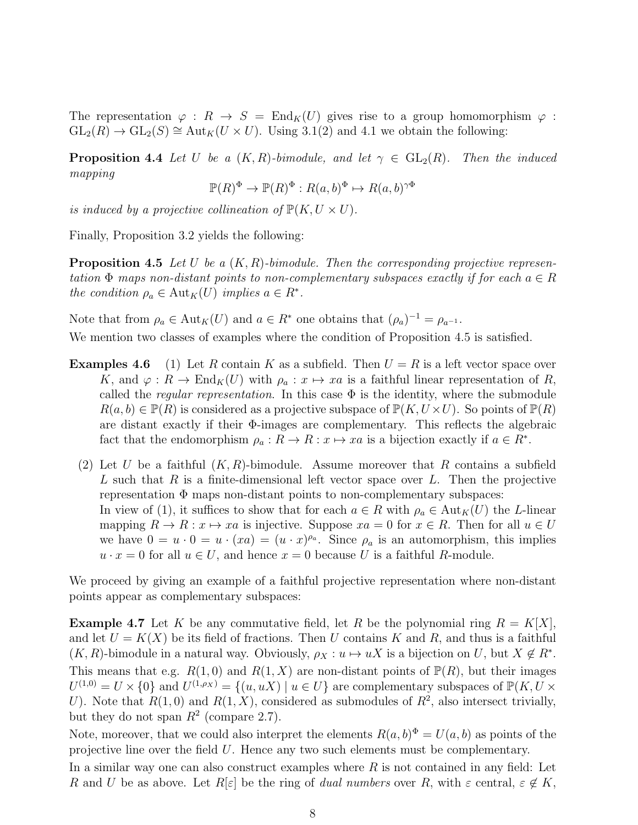The representation  $\varphi : R \to S = \text{End}_K(U)$  gives rise to a group homomorphism  $\varphi$ :  $GL_2(R) \to GL_2(S) \cong Aut_K(U \times U)$ . Using 3.1(2) and 4.1 we obtain the following:

**Proposition 4.4** Let U be a  $(K, R)$ -bimodule, and let  $\gamma \in GL_2(R)$ . Then the induced *mapping*

$$
\mathbb{P}(R)^{\Phi} \to \mathbb{P}(R)^{\Phi} : R(a,b)^{\Phi} \mapsto R(a,b)^{\gamma \Phi}
$$

*is induced by a projective collineation of*  $\mathbb{P}(K, U \times U)$ *.* 

Finally, Proposition 3.2 yields the following:

Proposition 4.5 *Let* U *be a* (K, R)*-bimodule. Then the corresponding projective representation*  $\Phi$  *maps non-distant points to non-complementary subspaces exactly if for each*  $a \in R$ *the condition*  $\rho_a \in Aut_K(U)$  *implies*  $a \in R^*$ *.* 

Note that from  $\rho_a \in \text{Aut}_K(U)$  and  $a \in R^*$  one obtains that  $(\rho_a)^{-1} = \rho_{a^{-1}}$ .

We mention two classes of examples where the condition of Proposition 4.5 is satisfied.

- **Examples 4.6** (1) Let R contain K as a subfield. Then  $U = R$  is a left vector space over K, and  $\varphi: R \to \text{End}_K(U)$  with  $\rho_a: x \mapsto xa$  is a faithful linear representation of R, called the *regular representation*. In this case  $\Phi$  is the identity, where the submodule  $R(a, b) \in \mathbb{P}(R)$  is considered as a projective subspace of  $\mathbb{P}(K, U \times U)$ . So points of  $\mathbb{P}(R)$ are distant exactly if their Φ-images are complementary. This reflects the algebraic fact that the endomorphism  $\rho_a: \overline{R} \to \overline{R}: x \mapsto xa$  is a bijection exactly if  $a \in \overline{R^*}.$ 
	- (2) Let U be a faithful  $(K, R)$ -bimodule. Assume moreover that R contains a subfield L such that R is a finite-dimensional left vector space over L. Then the projective representation  $\Phi$  maps non-distant points to non-complementary subspaces: In view of (1), it suffices to show that for each  $a \in R$  with  $\rho_a \in Aut_K(U)$  the L-linear mapping  $R \to R : x \mapsto xa$  is injective. Suppose  $xa = 0$  for  $x \in R$ . Then for all  $u \in U$ we have  $0 = u \cdot 0 = u \cdot (xa) = (u \cdot x)^{\rho_a}$ . Since  $\rho_a$  is an automorphism, this implies  $u \cdot x = 0$  for all  $u \in U$ , and hence  $x = 0$  because U is a faithful R-module.

We proceed by giving an example of a faithful projective representation where non-distant points appear as complementary subspaces:

**Example 4.7** Let K be any commutative field, let R be the polynomial ring  $R = K[X]$ , and let  $U = K(X)$  be its field of fractions. Then U contains K and R, and thus is a faithful  $(K, R)$ -bimodule in a natural way. Obviously,  $\rho_X : u \mapsto uX$  is a bijection on U, but  $X \notin R^*$ . This means that e.g.  $R(1,0)$  and  $R(1,X)$  are non-distant points of  $\mathbb{P}(R)$ , but their images  $U^{(1,0)} = U \times \{0\}$  and  $U^{(1,\rho_X)} = \{(u, uX) | u \in U\}$  are complementary subspaces of  $\mathbb{P}(K, U \times$ U). Note that  $R(1,0)$  and  $R(1,X)$ , considered as submodules of  $R^2$ , also intersect trivially, but they do not span  $R^2$  (compare 2.7).

Note, moreover, that we could also interpret the elements  $R(a, b)^{\Phi} = U(a, b)$  as points of the projective line over the field U. Hence any two such elements must be complementary.

In a similar way one can also construct examples where  $R$  is not contained in any field: Let R and U be as above. Let  $R[\varepsilon]$  be the ring of *dual numbers* over R, with  $\varepsilon$  central,  $\varepsilon \notin K$ ,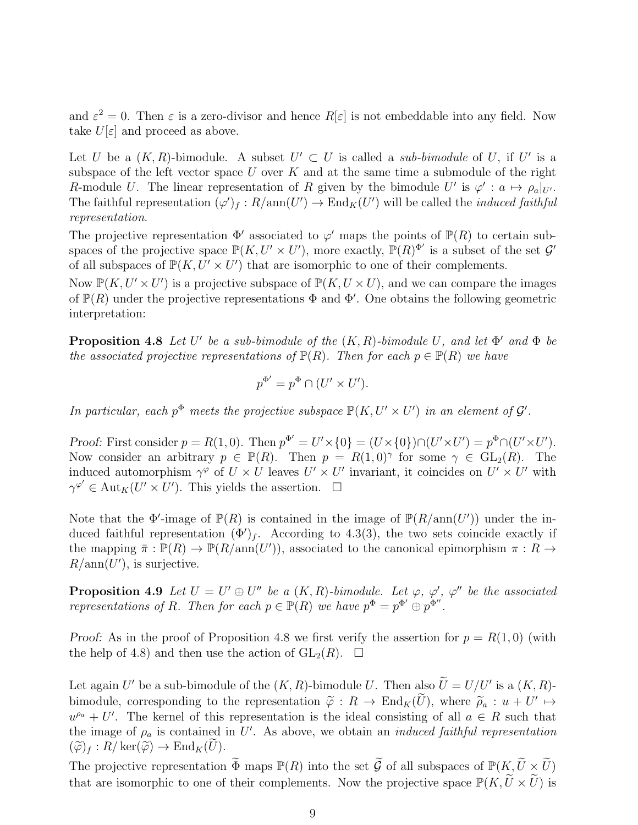and  $\varepsilon^2 = 0$ . Then  $\varepsilon$  is a zero-divisor and hence  $R[\varepsilon]$  is not embeddable into any field. Now take  $U[\varepsilon]$  and proceed as above.

Let U be a  $(K, R)$ -bimodule. A subset  $U' \subset U$  is called a *sub-bimodule* of U, if U' is a subspace of the left vector space  $U$  over  $K$  and at the same time a submodule of the right R-module U. The linear representation of R given by the bimodule U' is  $\varphi' : a \mapsto \rho_a|_{U'}$ . The faithful representation  $(\varphi')_f : R/\text{ann}(U') \to \text{End}_K(U')$  will be called the *induced faithful representation*.

The projective representation  $\Phi'$  associated to  $\varphi'$  maps the points of  $\mathbb{P}(R)$  to certain subspaces of the projective space  $\mathbb{P}(K, U' \times U')$ , more exactly,  $\mathbb{P}(R)^{\Phi'}$  is a subset of the set  $\mathcal{G}'$ of all subspaces of  $\mathbb{P}(K, U' \times U')$  that are isomorphic to one of their complements.

Now  $\mathbb{P}(K, U' \times U')$  is a projective subspace of  $\mathbb{P}(K, U \times U)$ , and we can compare the images of  $\mathbb{P}(R)$  under the projective representations  $\Phi$  and  $\Phi'$ . One obtains the following geometric interpretation:

**Proposition 4.8** Let U' be a sub-bimodule of the  $(K, R)$ -bimodule U, and let  $\Phi'$  and  $\Phi$  be *the associated projective representations of*  $\mathbb{P}(R)$ *. Then for each*  $p \in \mathbb{P}(R)$  *we have* 

$$
p^{\Phi'} = p^{\Phi} \cap (U' \times U').
$$

*In particular, each*  $p^{\Phi}$  meets the projective subspace  $\mathbb{P}(K, U' \times U')$  *in an element of*  $\mathcal{G}'$ *.* 

Proof: First consider  $p = R(1,0)$ . Then  $p^{\Phi'} = U' \times \{0\} = (U \times \{0\}) \cap (U' \times U') = p^{\Phi} \cap (U' \times U')$ . Now consider an arbitrary  $p \in \mathbb{P}(R)$ . Then  $p = R(1,0)^\gamma$  for some  $\gamma \in GL_2(R)$ . The induced automorphism  $\gamma^{\varphi}$  of  $U \times U$  leaves  $U' \times U'$  invariant, it coincides on  $U' \times U'$  with  $\gamma^{\varphi'} \in \text{Aut}_K(U' \times U')$ . This yields the assertion.  $\square$ 

Note that the  $\Phi'$ -image of  $\mathbb{P}(R)$  is contained in the image of  $\mathbb{P}(R/\text{ann}(U'))$  under the induced faithful representation  $(\Phi')_f$ . According to 4.3(3), the two sets coincide exactly if the mapping  $\bar{\pi}: \mathbb{P}(R) \to \mathbb{P}(R/\text{ann}(U'))$ , associated to the canonical epimorphism  $\pi: R \to$  $R/\text{ann}(U')$ , is surjective.

**Proposition 4.9** Let  $U = U' \oplus U''$  be a  $(K, R)$ -bimodule. Let  $\varphi$ ,  $\varphi'$ ,  $\varphi''$  be the associated *representations of* R. Then for each  $p \in \mathbb{P}(R)$  *we have*  $p^{\Phi} = p^{\Phi'} \oplus p^{\Phi''}$ .

Proof: As in the proof of Proposition 4.8 we first verify the assertion for  $p = R(1,0)$  (with the help of 4.8) and then use the action of  $GL_2(R)$ .  $\Box$ 

Let again U' be a sub-bimodule of the  $(K, R)$ -bimodule U. Then also  $\widetilde{U} = U/U'$  is a  $(K, R)$ bimodule, corresponding to the representation  $\tilde{\varphi}: R \to \text{End}_K(\tilde{U})$ , where  $\tilde{\rho}_a: u + U' \mapsto$  $u^{\rho_a} + U'$ . The kernel of this representation is the ideal consisting of all  $a \in R$  such that the image of  $\rho_a$  is contained in U'. As above, we obtain an *induced faithful representation*  $(\widetilde{\varphi})_f : R/\ker(\widetilde{\varphi}) \to \mathrm{End}_K(\widetilde{U}).$ 

The projective representation  $\widetilde{\Phi}$  maps  $\mathbb{P}(R)$  into the set  $\widetilde{\mathcal{G}}$  of all subspaces of  $\mathbb{P}(K, \widetilde{U} \times \widetilde{U})$ that are isomorphic to one of their complements. Now the projective space  $\mathbb{P}(K, \widetilde{U} \times \widetilde{U})$  is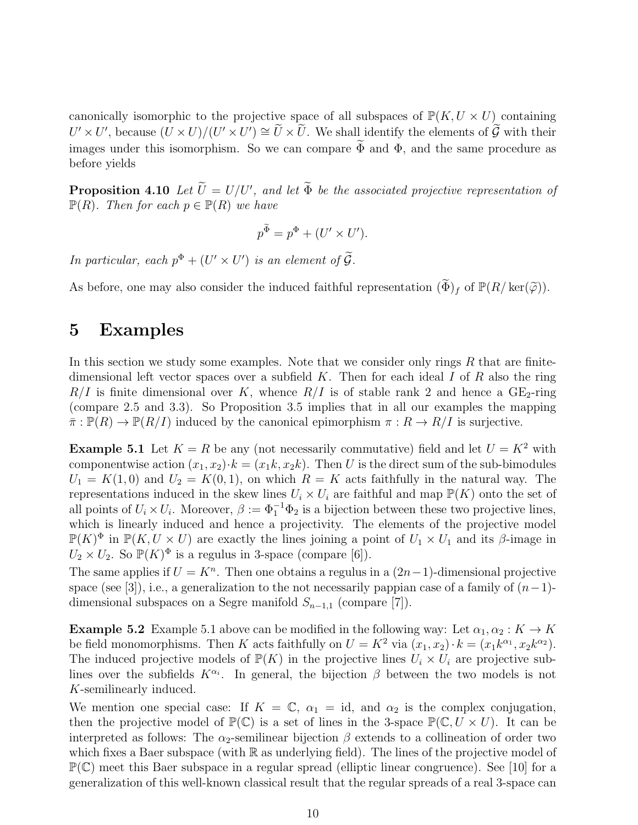canonically isomorphic to the projective space of all subspaces of  $\mathbb{P}(K, U \times U)$  containing  $U' \times U'$ , because  $(U \times U)/(U' \times U') \cong \widetilde{U} \times \widetilde{U}$ . We shall identify the elements of  $\widetilde{\mathcal{G}}$  with their images under this isomorphism. So we can compare  $\widetilde{\Phi}$  and  $\Phi$ , and the same procedure as before yields

**Proposition 4.10** Let  $\widetilde{U} = U/U'$ , and let  $\widetilde{\Phi}$  be the associated projective representation of  $\mathbb{P}(R)$ *. Then for each*  $p \in \mathbb{P}(R)$  *we have* 

$$
p^{\widetilde{\Phi}} = p^{\Phi} + (U' \times U').
$$

*In particular, each*  $p^{\Phi} + (U' \times U')$  *is an element of*  $\widetilde{G}$ *.* 

As before, one may also consider the induced faithful representation  $(\widetilde{\Phi})_f$  of  $\mathbb{P}(R/\ker(\widetilde{\varphi}))$ .

#### 5 Examples

In this section we study some examples. Note that we consider only rings  $R$  that are finitedimensional left vector spaces over a subfield  $K$ . Then for each ideal  $I$  of  $R$  also the ring  $R/I$  is finite dimensional over K, whence  $R/I$  is of stable rank 2 and hence a GE<sub>2</sub>-ring (compare 2.5 and 3.3). So Proposition 3.5 implies that in all our examples the mapping  $\bar{\pi}: \mathbb{P}(R) \to \mathbb{P}(R/I)$  induced by the canonical epimorphism  $\pi: R \to R/I$  is surjective.

**Example 5.1** Let  $K = R$  be any (not necessarily commutative) field and let  $U = K^2$  with componentwise action  $(x_1, x_2) \cdot k = (x_1k, x_2k)$ . Then U is the direct sum of the sub-bimodules  $U_1 = K(1,0)$  and  $U_2 = K(0,1)$ , on which  $R = K$  acts faithfully in the natural way. The representations induced in the skew lines  $U_i \times U_i$  are faithful and map  $\mathbb{P}(K)$  onto the set of all points of  $U_i \times U_i$ . Moreover,  $\beta := \Phi_1^{-1} \Phi_2$  is a bijection between these two projective lines, which is linearly induced and hence a projectivity. The elements of the projective model  $\mathbb{P}(K)^{\Phi}$  in  $\mathbb{P}(K, U \times U)$  are exactly the lines joining a point of  $U_1 \times U_1$  and its  $\beta$ -image in  $U_2 \times U_2$ . So  $\mathbb{P}(K)^{\Phi}$  is a regulus in 3-space (compare [6]).

The same applies if  $U = K<sup>n</sup>$ . Then one obtains a regulus in a  $(2n-1)$ -dimensional projective space (see [3]), i.e., a generalization to the not necessarily pappian case of a family of  $(n-1)$ dimensional subspaces on a Segre manifold  $S_{n-1,1}$  (compare [7]).

**Example 5.2** Example 5.1 above can be modified in the following way: Let  $\alpha_1, \alpha_2 : K \to K$ be field monomorphisms. Then K acts faithfully on  $U = K^2$  via  $(x_1, x_2) \cdot k = (x_1 k^{\alpha_1}, x_2 k^{\alpha_2})$ . The induced projective models of  $\mathbb{P}(K)$  in the projective lines  $U_i \times U_i$  are projective sublines over the subfields  $K^{\alpha_i}$ . In general, the bijection  $\beta$  between the two models is not K-semilinearly induced.

We mention one special case: If  $K = \mathbb{C}$ ,  $\alpha_1 = id$ , and  $\alpha_2$  is the complex conjugation, then the projective model of  $\mathbb{P}(\mathbb{C})$  is a set of lines in the 3-space  $\mathbb{P}(\mathbb{C}, U \times U)$ . It can be interpreted as follows: The  $\alpha_2$ -semilinear bijection  $\beta$  extends to a collineation of order two which fixes a Baer subspace (with  $\mathbb R$  as underlying field). The lines of the projective model of  $\mathbb{P}(\mathbb{C})$  meet this Baer subspace in a regular spread (elliptic linear congruence). See [10] for a generalization of this well-known classical result that the regular spreads of a real 3-space can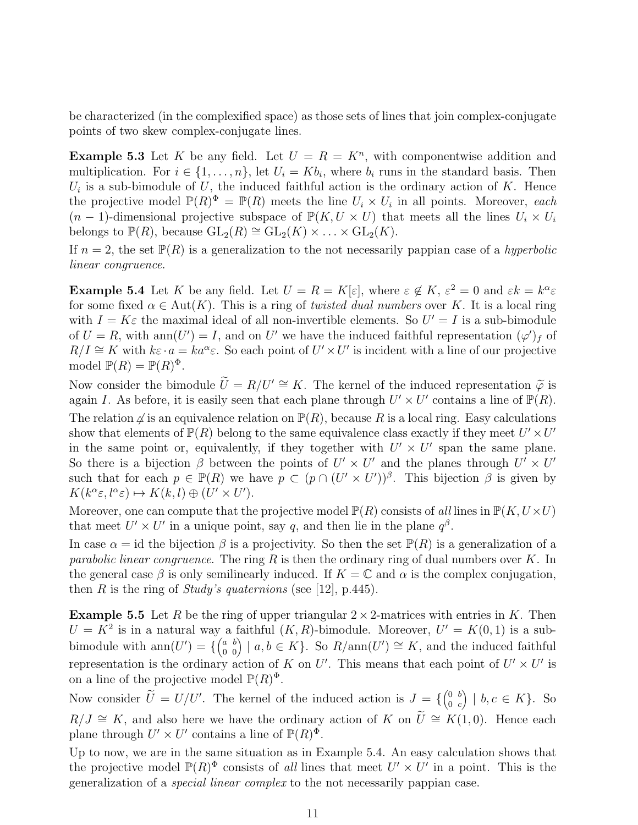be characterized (in the complexified space) as those sets of lines that join complex-conjugate points of two skew complex-conjugate lines.

**Example 5.3** Let K be any field. Let  $U = R = K<sup>n</sup>$ , with componentwise addition and multiplication. For  $i \in \{1, \ldots, n\}$ , let  $U_i = Kb_i$ , where  $b_i$  runs in the standard basis. Then  $U_i$  is a sub-bimodule of U, the induced faithful action is the ordinary action of K. Hence the projective model  $\mathbb{P}(R)^{\Phi} = \mathbb{P}(R)$  meets the line  $U_i \times U_i$  in all points. Moreover, *each*  $(n-1)$ -dimensional projective subspace of  $\mathbb{P}(K, U \times U)$  that meets all the lines  $U_i \times U_i$ belongs to  $\mathbb{P}(R)$ , because  $GL_2(R) \cong GL_2(K) \times \ldots \times GL_2(K)$ .

If  $n = 2$ , the set  $\mathbb{P}(R)$  is a generalization to the not necessarily pappian case of a *hyperbolic linear congruence*.

**Example 5.4** Let K be any field. Let  $U = R = K[\varepsilon]$ , where  $\varepsilon \notin K$ ,  $\varepsilon^2 = 0$  and  $\varepsilon k = k^{\alpha} \varepsilon$ for some fixed  $\alpha \in Aut(K)$ . This is a ring of *twisted dual numbers* over K. It is a local ring with  $I = K\varepsilon$  the maximal ideal of all non-invertible elements. So  $U' = I$  is a sub-bimodule of  $U = R$ , with ann $(U') = I$ , and on U' we have the induced faithful representation  $(\varphi')_f$  of  $R/I \cong K$  with  $k\varepsilon \cdot a = ka^{\alpha}\varepsilon$ . So each point of  $U' \times U'$  is incident with a line of our projective model  $\mathbb{P}(R) = \mathbb{P}(R)^{\Phi}$ .

Now consider the bimodule  $\widetilde{U} = R/U' \cong K$ . The kernel of the induced representation  $\widetilde{\varphi}$  is again I. As before, it is easily seen that each plane through  $U' \times U'$  contains a line of  $\mathbb{P}(R)$ . The relation  $\varphi$  is an equivalence relation on  $\mathbb{P}(R)$ , because R is a local ring. Easy calculations show that elements of  $\mathbb{P}(R)$  belong to the same equivalence class exactly if they meet  $U' \times U'$ in the same point or, equivalently, if they together with  $U' \times U'$  span the same plane. So there is a bijection  $\beta$  between the points of  $U' \times U'$  and the planes through  $U' \times U'$ such that for each  $p \in \mathbb{P}(R)$  we have  $p \subset (p \cap (U' \times U'))^{\beta}$ . This bijection  $\beta$  is given by  $K(k^{\alpha}\varepsilon, l^{\alpha}\varepsilon) \mapsto K(k, l) \oplus (U' \times U').$ 

Moreover, one can compute that the projective model  $\mathbb{P}(R)$  consists of *all* lines in  $\mathbb{P}(K, U \times U)$ that meet  $U' \times U'$  in a unique point, say q, and then lie in the plane  $q^{\beta}$ .

In case  $\alpha = id$  the bijection  $\beta$  is a projectivity. So then the set  $\mathbb{P}(R)$  is a generalization of a *parabolic linear congruence*. The ring R is then the ordinary ring of dual numbers over K. In the general case  $\beta$  is only semilinearly induced. If  $K = \mathbb{C}$  and  $\alpha$  is the complex conjugation, then R is the ring of *Study's quaternions* (see [12], p.445).

**Example 5.5** Let R be the ring of upper triangular  $2 \times 2$ -matrices with entries in K. Then  $U = K^2$  is in a natural way a faithful  $(K, R)$ -bimodule. Moreover,  $U' = K(0, 1)$  is a subbimodule with  $ann(U') = \{ \begin{pmatrix} a & b \\ 0 & 0 \end{pmatrix} \mid a, b \in K \}$ . So  $R/ann(U') \cong K$ , and the induced faithful representation is the ordinary action of K on U'. This means that each point of  $U' \times U'$  is on a line of the projective model  $\mathbb{P}(R)^{\Phi}$ .

Now consider  $\tilde{U} = U/U'$ . The kernel of the induced action is  $J = \{ \begin{pmatrix} 0 & b \\ 0 & c \end{pmatrix} \}$  $0 \thinspace c$  $\big) \mid b, c \in K\}.$  So  $R/J \cong K$ , and also here we have the ordinary action of K on  $\tilde{U} \cong K(1,0)$ . Hence each plane through  $U' \times U'$  contains a line of  $\mathbb{P}(R)^{\Phi}$ .

Up to now, we are in the same situation as in Example 5.4. An easy calculation shows that the projective model  $\mathbb{P}(R)^{\Phi}$  consists of *all* lines that meet  $U' \times U'$  in a point. This is the generalization of a *special linear complex* to the not necessarily pappian case.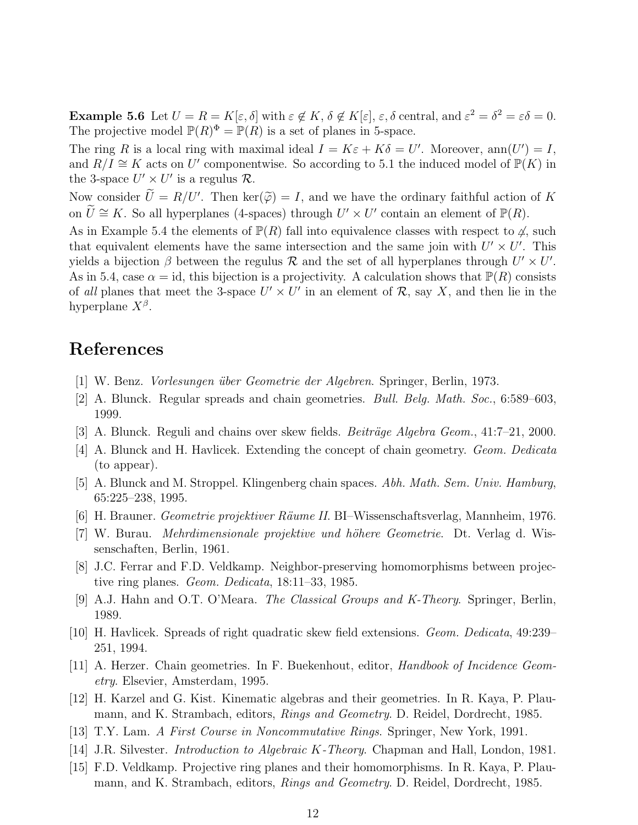**Example 5.6** Let  $U = R = K[\varepsilon, \delta]$  with  $\varepsilon \notin K$ ,  $\delta \notin K[\varepsilon]$ ,  $\varepsilon$ ,  $\delta$  central, and  $\varepsilon^2 = \delta^2 = \varepsilon \delta = 0$ . The projective model  $\mathbb{P}(R)^{\Phi} = \mathbb{P}(R)$  is a set of planes in 5-space.

The ring R is a local ring with maximal ideal  $I = K\varepsilon + K\delta = U'$ . Moreover, ann $(U') = I$ , and  $R/\overline{I} \cong K$  acts on U' componentwise. So according to 5.1 the induced model of  $\mathbb{P}(K)$  in the 3-space  $U' \times U'$  is a regulus  $\mathcal{R}$ .

Now consider  $\widetilde{U} = R/U'$ . Then ker $(\widetilde{\varphi}) = I$ , and we have the ordinary faithful action of K on  $\tilde{U} \cong K$ . So all hyperplanes (4-spaces) through  $U' \times U'$  contain an element of  $\mathbb{P}(R)$ .

As in Example 5.4 the elements of  $\mathbb{P}(R)$  fall into equivalence classes with respect to  $\varphi$ , such that equivalent elements have the same intersection and the same join with  $U' \times U'$ . This yields a bijection  $\beta$  between the regulus  $\mathcal R$  and the set of all hyperplanes through  $U' \times U'$ . As in 5.4, case  $\alpha = id$ , this bijection is a projectivity. A calculation shows that  $\mathbb{P}(R)$  consists of *all* planes that meet the 3-space  $U' \times U'$  in an element of  $\mathcal{R}$ , say X, and then lie in the hyperplane  $X^{\beta}$ .

#### References

- [1] W. Benz. *Vorlesungen ¨uber Geometrie der Algebren*. Springer, Berlin, 1973.
- [2] A. Blunck. Regular spreads and chain geometries. *Bull. Belg. Math. Soc.*, 6:589–603, 1999.
- [3] A. Blunck. Reguli and chains over skew fields. *Beiträge Algebra Geom.*, 41:7–21, 2000.
- [4] A. Blunck and H. Havlicek. Extending the concept of chain geometry. *Geom. Dedicata* (to appear).
- [5] A. Blunck and M. Stroppel. Klingenberg chain spaces. *Abh. Math. Sem. Univ. Hamburg*, 65:225–238, 1995.
- [6] H. Brauner. *Geometrie projektiver Räume II*. BI–Wissenschaftsverlag, Mannheim, 1976.
- [7] W. Burau. *Mehrdimensionale projektive und höhere Geometrie*. Dt. Verlag d. Wissenschaften, Berlin, 1961.
- [8] J.C. Ferrar and F.D. Veldkamp. Neighbor-preserving homomorphisms between projective ring planes. *Geom. Dedicata*, 18:11–33, 1985.
- [9] A.J. Hahn and O.T. O'Meara. *The Classical Groups and K-Theory*. Springer, Berlin, 1989.
- [10] H. Havlicek. Spreads of right quadratic skew field extensions. *Geom. Dedicata*, 49:239– 251, 1994.
- [11] A. Herzer. Chain geometries. In F. Buekenhout, editor, *Handbook of Incidence Geometry*. Elsevier, Amsterdam, 1995.
- [12] H. Karzel and G. Kist. Kinematic algebras and their geometries. In R. Kaya, P. Plaumann, and K. Strambach, editors, *Rings and Geometry*. D. Reidel, Dordrecht, 1985.
- [13] T.Y. Lam. *A First Course in Noncommutative Rings*. Springer, New York, 1991.
- [14] J.R. Silvester. *Introduction to Algebraic* K*-Theory*. Chapman and Hall, London, 1981.
- [15] F.D. Veldkamp. Projective ring planes and their homomorphisms. In R. Kaya, P. Plaumann, and K. Strambach, editors, *Rings and Geometry*. D. Reidel, Dordrecht, 1985.